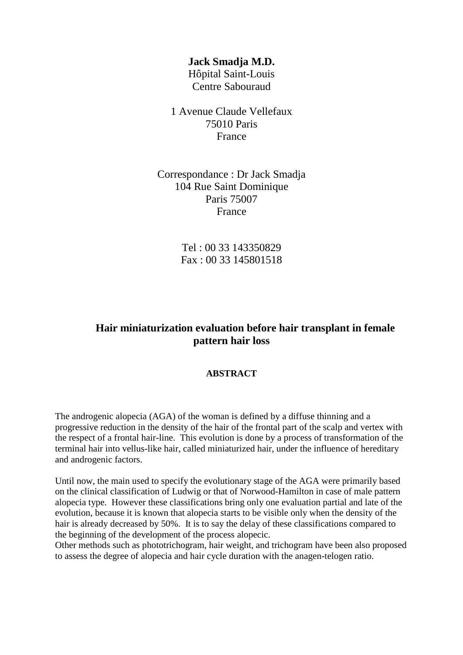## **Jack Smadja M.D.**

Hôpital Saint-Louis Centre Sabouraud

1 Avenue Claude Vellefaux 75010 Paris France

Correspondance : Dr Jack Smadja 104 Rue Saint Dominique Paris 75007 France

> Tel : 00 33 143350829 Fax : 00 33 145801518

## **Hair miniaturization evaluation before hair transplant in female pattern hair loss**

## **ABSTRACT**

The androgenic alopecia (AGA) of the woman is defined by a diffuse thinning and a progressive reduction in the density of the hair of the frontal part of the scalp and vertex with the respect of a frontal hair-line. This evolution is done by a process of transformation of the terminal hair into vellus-like hair, called miniaturized hair, under the influence of hereditary and androgenic factors.

Until now, the main used to specify the evolutionary stage of the AGA were primarily based on the clinical classification of Ludwig or that of Norwood-Hamilton in case of male pattern alopecia type. However these classifications bring only one evaluation partial and late of the evolution, because it is known that alopecia starts to be visible only when the density of the hair is already decreased by 50%. It is to say the delay of these classifications compared to the beginning of the development of the process alopecic.

Other methods such as phototrichogram, hair weight, and trichogram have been also proposed to assess the degree of alopecia and hair cycle duration with the anagen-telogen ratio.